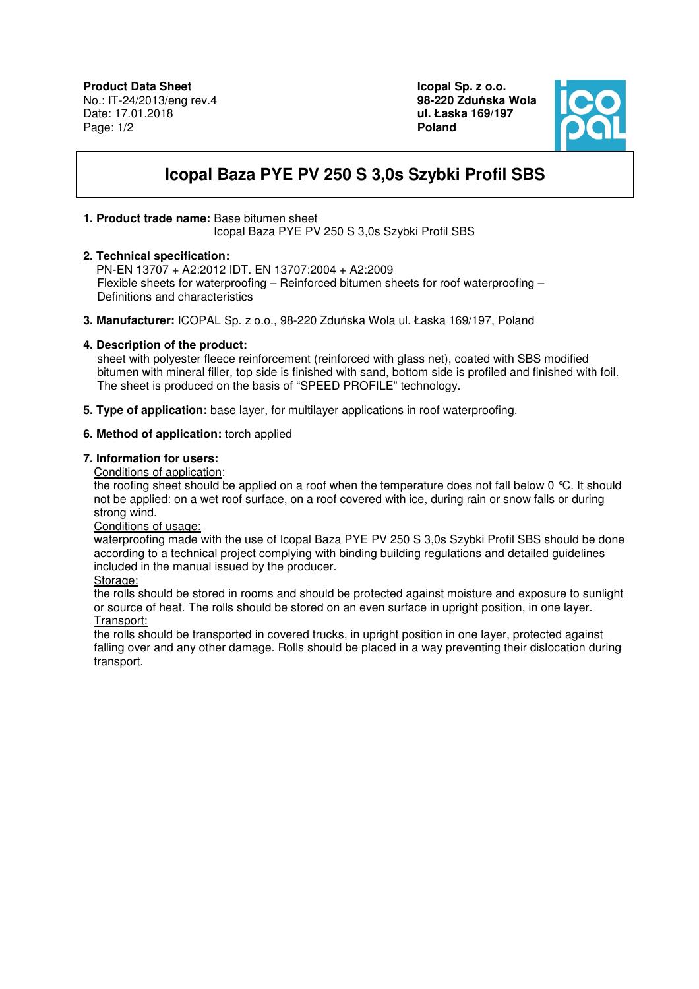**Icopal Sp. z o.o. 98-220 Zdu**ń**ska Wola ul. Łaska 169/197 Poland** 



# **Icopal Baza PYE PV 250 S 3,0s Szybki Profil SBS**

## **1. Product trade name:** Base bitumen sheet

Icopal Baza PYE PV 250 S 3,0s Szybki Profil SBS

## **2. Technical specification:**

 PN-EN 13707 + A2:2012 IDT. EN 13707:2004 + A2:2009 Flexible sheets for waterproofing – Reinforced bitumen sheets for roof waterproofing – Definitions and characteristics

**3. Manufacturer:** ICOPAL Sp. z o.o., 98-220 Zduńska Wola ul. Łaska 169/197, Poland

### **4. Description of the product:**

 sheet with polyester fleece reinforcement (reinforced with glass net), coated with SBS modified bitumen with mineral filler, top side is finished with sand, bottom side is profiled and finished with foil. The sheet is produced on the basis of "SPEED PROFILE" technology.

**5. Type of application:** base layer, for multilayer applications in roof waterproofing.

### **6. Method of application:** torch applied

### **7. Information for users:**

Conditions of application:

the roofing sheet should be applied on a roof when the temperature does not fall below 0 °C. It should not be applied: on a wet roof surface, on a roof covered with ice, during rain or snow falls or during strong wind.

Conditions of usage:

waterproofing made with the use of Icopal Baza PYE PV 250 S 3,0s Szybki Profil SBS should be done according to a technical project complying with binding building regulations and detailed guidelines included in the manual issued by the producer.

Storage:

the rolls should be stored in rooms and should be protected against moisture and exposure to sunlight or source of heat. The rolls should be stored on an even surface in upright position, in one layer. Transport:

the rolls should be transported in covered trucks, in upright position in one layer, protected against falling over and any other damage. Rolls should be placed in a way preventing their dislocation during transport.